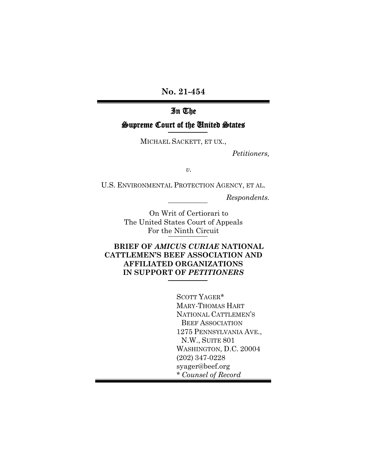**No. 21-454**

# In The

## Supreme Court of the United States

MICHAEL SACKETT, ET UX.,

*Petitioners,* 

*v.*

U.S. ENVIRONMENTAL PROTECTION AGENCY, ET AL.

*Respondents.*

On Writ of Certiorari to The United States Court of Appeals For the Ninth Circuit

## **BRIEF OF** *AMICUS CURIAE* **NATIONAL CATTLEMEN'S BEEF ASSOCIATION AND AFFILIATED ORGANIZATIONS IN SUPPORT OF** *PETITIONERS*

SCOTT YAGER\* MARY-THOMAS HART NATIONAL CATTLEMEN'S BEEF ASSOCIATION 1275 PENNSYLVANIA AVE., N.W., SUITE 801 WASHINGTON, D.C. 20004 (202) 347-0228 syager@beef.org \* *Counsel of Record*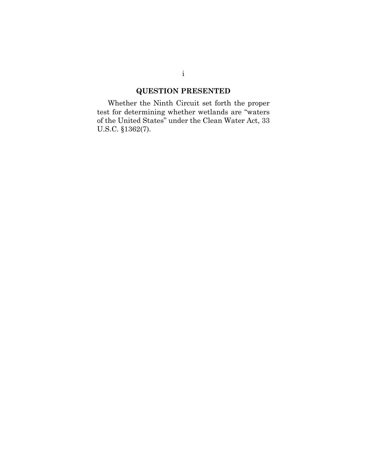# **QUESTION PRESENTED**

Whether the Ninth Circuit set forth the proper test for determining whether wetlands are "waters of the United States" under the Clean Water Act, 33 U.S.C. §1362(7).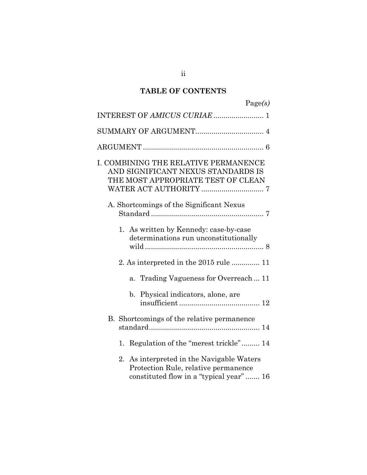# **TABLE OF CONTENTS**

| Page(s)                                                                                                                          |
|----------------------------------------------------------------------------------------------------------------------------------|
| INTEREST OF AMICUS CURIAE  1                                                                                                     |
|                                                                                                                                  |
|                                                                                                                                  |
| I. COMBINING THE RELATIVE PERMANENCE<br>AND SIGNIFICANT NEXUS STANDARDS IS<br>THE MOST APPROPRIATE TEST OF CLEAN                 |
| A. Shortcomings of the Significant Nexus                                                                                         |
| As written by Kennedy: case-by-case<br>1.<br>determinations run unconstitutionally                                               |
| 2. As interpreted in the 2015 rule  11                                                                                           |
| Trading Vagueness for Overreach 11<br>$\mathbf{a}$ .                                                                             |
| b. Physical indicators, alone, are                                                                                               |
| B. Shortcomings of the relative permanence                                                                                       |
| Regulation of the "merest trickle" 14<br>1.                                                                                      |
| As interpreted in the Navigable Waters<br>2.<br>Protection Rule, relative permanence<br>constituted flow in a "typical year"  16 |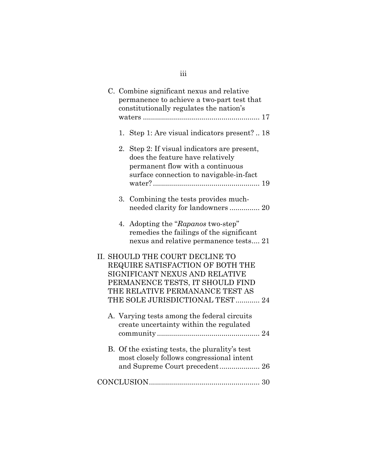|    | C. Combine significant nexus and relative<br>permanence to achieve a two-part test that<br>constitutionally regulates the nation's                                                                               |
|----|------------------------------------------------------------------------------------------------------------------------------------------------------------------------------------------------------------------|
|    | 1. Step 1: Are visual indicators present?  18                                                                                                                                                                    |
| 2. | Step 2: If visual indicators are present,<br>does the feature have relatively<br>permanent flow with a continuous<br>surface connection to navigable-in-fact                                                     |
|    | 3. Combining the tests provides much-<br>needed clarity for landowners 20                                                                                                                                        |
|    | 4. Adopting the "Rapanos two-step"<br>remedies the failings of the significant<br>nexus and relative permanence tests 21                                                                                         |
|    | II. SHOULD THE COURT DECLINE TO<br>REQUIRE SATISFACTION OF BOTH THE<br>SIGNIFICANT NEXUS AND RELATIVE<br>PERMANENCE TESTS, IT SHOULD FIND<br>THE RELATIVE PERMANANCE TEST AS<br>THE SOLE JURISDICTIONAL TEST  24 |
|    | A. Varying tests among the federal circuits<br>create uncertainty within the regulated                                                                                                                           |
|    | B. Of the existing tests, the plurality's test<br>most closely follows congressional intent<br>and Supreme Court precedent 26                                                                                    |
|    |                                                                                                                                                                                                                  |

# iii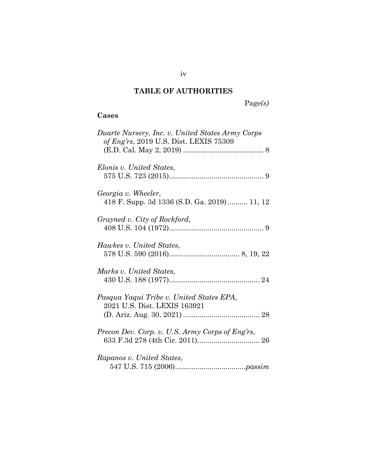# **TABLE OF AUTHORITIES**

# Page*(s)*

# **Cases**

| Duarte Nursery, Inc. v. United States Army Corps<br>of Eng'rs, 2019 U.S. Dist. LEXIS 75309 |
|--------------------------------------------------------------------------------------------|
| Elonis v. United States,                                                                   |
| Georgia v. Wheeler,<br>418 F. Supp. 3d 1336 (S.D. Ga. 2019)  11, 12                        |
| Grayned v. City of Rockford,                                                               |
| Hawkes v. United States,                                                                   |
| Marks v. United States,                                                                    |
| Pasqua Yaqui Tribe v. United States EPA,<br>2021 U.S. Dist. LEXIS 163921                   |
| Precon Dev. Corp. v. U.S. Army Corps of Eng'rs,                                            |
| Rapanos v. United States,                                                                  |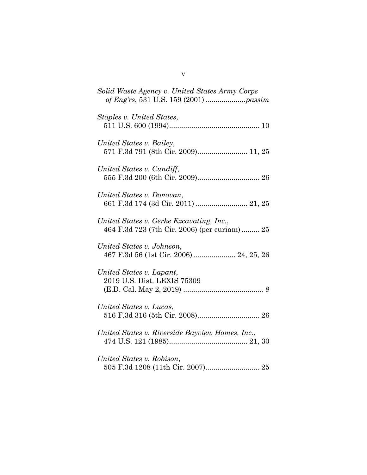| Solid Waste Agency v. United States Army Corps                                           |
|------------------------------------------------------------------------------------------|
| Staples v. United States,                                                                |
| United States v. Bailey,<br>571 F.3d 791 (8th Cir. 2009) 11, 25                          |
| United States v. Cundiff,                                                                |
| United States v. Donovan,<br>661 F.3d 174 (3d Cir. 2011)  21, 25                         |
| United States v. Gerke Excavating, Inc.,<br>464 F.3d 723 (7th Cir. 2006) (per curiam) 25 |
| United States v. Johnson,<br>467 F.3d 56 (1st Cir. 2006) 24, 25, 26                      |
| United States v. Lapant,<br>2019 U.S. Dist. LEXIS 75309                                  |
| United States v. Lucas,                                                                  |
| United States v. Riverside Bayview Homes, Inc.,                                          |
| United States v. Robison,                                                                |

v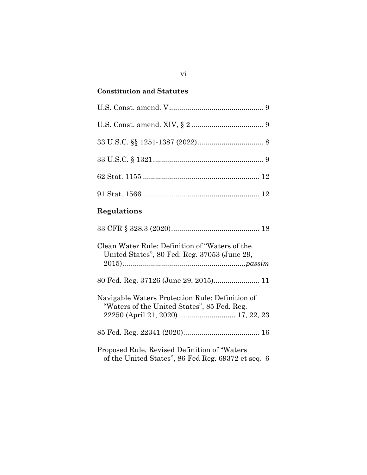# **Constitution and Statutes**

| $33 \text{ U.S.C.} \S 1321 \dots 3$                                                                                                  |
|--------------------------------------------------------------------------------------------------------------------------------------|
|                                                                                                                                      |
|                                                                                                                                      |
| Regulations                                                                                                                          |
|                                                                                                                                      |
| Clean Water Rule: Definition of "Waters of the<br>United States", 80 Fed. Reg. 37053 (June 29,                                       |
| 80 Fed. Reg. 37126 (June 29, 2015) 11                                                                                                |
| Navigable Waters Protection Rule: Definition of<br>"Waters of the United States", 85 Fed. Reg.<br>22250 (April 21, 2020)  17, 22, 23 |
|                                                                                                                                      |
| Proposed Rule, Revised Definition of "Waters"                                                                                        |

of the United States", 86 Fed Reg. 69372 et seq. 6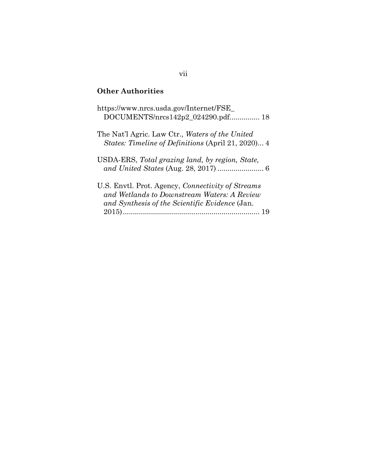# **Other Authorities**

| https://www.nrcs.usda.gov/Internet/FSE<br>DOCUMENTS/nrcs142p2_024290.pdf 18                                                                        |
|----------------------------------------------------------------------------------------------------------------------------------------------------|
| The Nat'l Agric. Law Ctr., Waters of the United<br>States: Timeline of Definitions (April 21, 2020) 4                                              |
| USDA-ERS, Total grazing land, by region, State,                                                                                                    |
| U.S. Envtl. Prot. Agency, Connectivity of Streams<br>and Wetlands to Downstream Waters: A Review<br>and Synthesis of the Scientific Evidence (Jan. |

## vii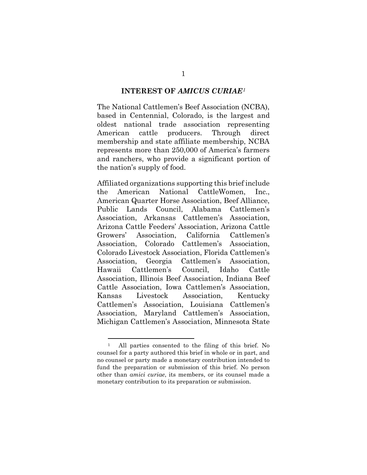#### **INTEREST OF** *AMICUS CURIAE[1](#page-8-0)*

The National Cattlemen's Beef Association (NCBA), based in Centennial, Colorado, is the largest and oldest national trade association representing American cattle producers. Through direct membership and state affiliate membership, NCBA represents more than 250,000 of America's farmers and ranchers, who provide a significant portion of the nation's supply of food.

Affiliated organizations supporting this brief include the American National CattleWomen, Inc., American Quarter Horse Association, Beef Alliance, Public Lands Council, Alabama Cattlemen's Association, Arkansas Cattlemen's Association, Arizona Cattle Feeders' Association, Arizona Cattle Growers' Association, California Cattlemen's Association, Colorado Cattlemen's Association, Colorado Livestock Association, Florida Cattlemen's Association, Georgia Cattlemen's Association, Hawaii Cattlemen's Council, Idaho Cattle Association, Illinois Beef Association, Indiana Beef Cattle Association, Iowa Cattlemen's Association, Kansas Livestock Association, Kentucky Cattlemen's Association, Louisiana Cattlemen's Association, Maryland Cattlemen's Association, Michigan Cattlemen's Association, Minnesota State

<span id="page-8-0"></span><sup>1</sup> All parties consented to the filing of this brief. No counsel for a party authored this brief in whole or in part, and no counsel or party made a monetary contribution intended to fund the preparation or submission of this brief. No person other than *amici curiae*, its members, or its counsel made a monetary contribution to its preparation or submission.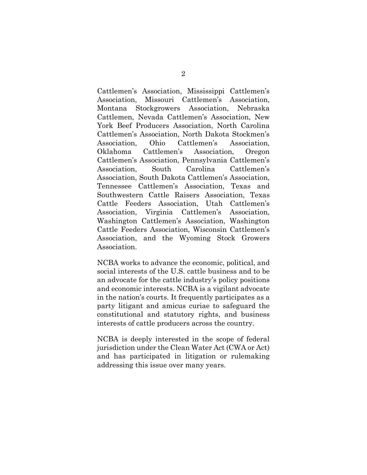Cattlemen's Association, Mississippi Cattlemen's Association, Missouri Cattlemen's Association, Montana Stockgrowers Association, Nebraska Cattlemen, Nevada Cattlemen's Association, New York Beef Producers Association, North Carolina Cattlemen's Association, North Dakota Stockmen's Association, Ohio Cattlemen's Association, Oklahoma Cattlemen's Association, Oregon Cattlemen's Association, Pennsylvania Cattlemen's Association, South Carolina Cattlemen's Association, South Dakota Cattlemen's Association, Tennessee Cattlemen's Association, Texas and Southwestern Cattle Raisers Association, Texas Cattle Feeders Association, Utah Cattlemen's Association, Virginia Cattlemen's Association, Washington Cattlemen's Association, Washington Cattle Feeders Association, Wisconsin Cattlemen's Association, and the Wyoming Stock Growers Association.

NCBA works to advance the economic, political, and social interests of the U.S. cattle business and to be an advocate for the cattle industry's policy positions and economic interests. NCBA is a vigilant advocate in the nation's courts. It frequently participates as a party litigant and amicus curiae to safeguard the constitutional and statutory rights, and business interests of cattle producers across the country.

NCBA is deeply interested in the scope of federal jurisdiction under the Clean Water Act (CWA or Act) and has participated in litigation or rulemaking addressing this issue over many years.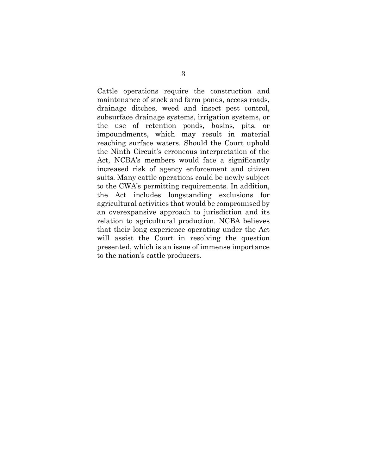Cattle operations require the construction and maintenance of stock and farm ponds, access roads, drainage ditches, weed and insect pest control, subsurface drainage systems, irrigation systems, or the use of retention ponds, basins, pits, or impoundments, which may result in material reaching surface waters. Should the Court uphold the Ninth Circuit's erroneous interpretation of the Act, NCBA's members would face a significantly increased risk of agency enforcement and citizen suits. Many cattle operations could be newly subject to the CWA's permitting requirements. In addition, the Act includes longstanding exclusions for agricultural activities that would be compromised by an overexpansive approach to jurisdiction and its relation to agricultural production. NCBA believes that their long experience operating under the Act will assist the Court in resolving the question presented, which is an issue of immense importance to the nation's cattle producers.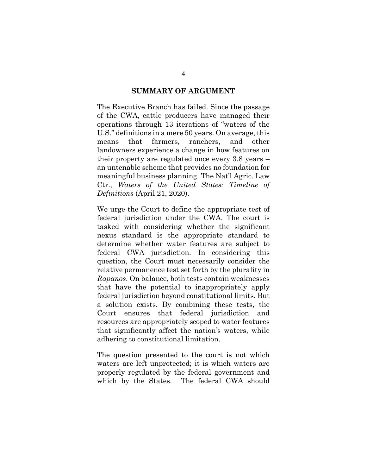#### **SUMMARY OF ARGUMENT**

The Executive Branch has failed. Since the passage of the CWA, cattle producers have managed their operations through 13 iterations of "waters of the U.S." definitions in a mere 50 years. On average, this means that farmers, ranchers, and other landowners experience a change in how features on their property are regulated once every 3.8 years – an untenable scheme that provides no foundation for meaningful business planning. The Nat'l Agric. Law Ctr., *Waters of the United States: Timeline of Definitions* (April 21, 2020).

We urge the Court to define the appropriate test of federal jurisdiction under the CWA. The court is tasked with considering whether the significant nexus standard is the appropriate standard to determine whether water features are subject to federal CWA jurisdiction. In considering this question, the Court must necessarily consider the relative permanence test set forth by the plurality in *Rapanos*. On balance, both tests contain weaknesses that have the potential to inappropriately apply federal jurisdiction beyond constitutional limits. But a solution exists. By combining these tests, the Court ensures that federal jurisdiction and resources are appropriately scoped to water features that significantly affect the nation's waters, while adhering to constitutional limitation.

The question presented to the court is not which waters are left unprotected; it is which waters are properly regulated by the federal government and which by the States. The federal CWA should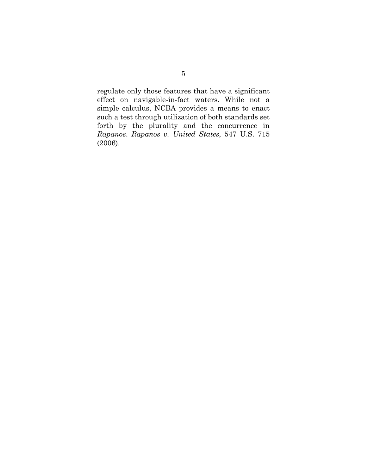regulate only those features that have a significant effect on navigable-in-fact waters. While not a simple calculus, NCBA provides a means to enact such a test through utilization of both standards set forth by the plurality and the concurrence in *Rapanos*. *Rapanos v. United States*, 547 U.S. 715 (2006).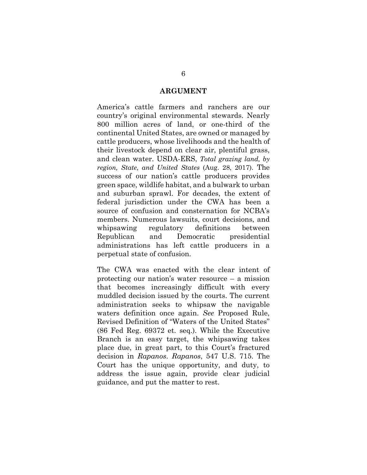#### **ARGUMENT**

America's cattle farmers and ranchers are our country's original environmental stewards. Nearly 800 million acres of land, or one-third of the continental United States, are owned or managed by cattle producers, whose livelihoods and the health of their livestock depend on clear air, plentiful grass, and clean water. USDA-ERS, *Total grazing land, by region, State, and United States* (Aug. 28, 2017). The success of our nation's cattle producers provides green space, wildlife habitat, and a bulwark to urban and suburban sprawl. For decades, the extent of federal jurisdiction under the CWA has been a source of confusion and consternation for NCBA's members. Numerous lawsuits, court decisions, and whipsawing regulatory definitions between Republican and Democratic presidential administrations has left cattle producers in a perpetual state of confusion.

The CWA was enacted with the clear intent of protecting our nation's water resource – a mission that becomes increasingly difficult with every muddled decision issued by the courts. The current administration seeks to whipsaw the navigable waters definition once again. *See* Proposed Rule, Revised Definition of "Waters of the United States" (86 Fed Reg. 69372 et. seq.). While the Executive Branch is an easy target, the whipsawing takes place due, in great part, to this Court's fractured decision in *Rapanos*. *Rapanos*, 547 U.S. 715. The Court has the unique opportunity, and duty, to address the issue again, provide clear judicial guidance, and put the matter to rest.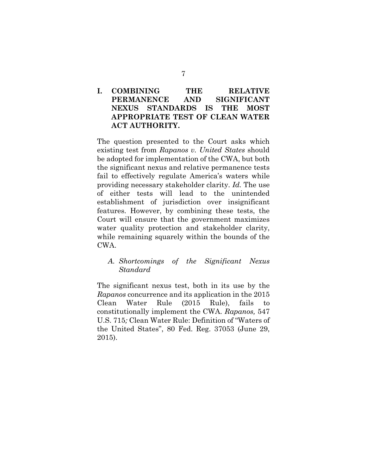## **I. COMBINING THE RELATIVE PERMANENCE AND SIGNIFICANT NEXUS STANDARDS IS THE MOST APPROPRIATE TEST OF CLEAN WATER ACT AUTHORITY.**

The question presented to the Court asks which existing test from *Rapanos v. United States* should be adopted for implementation of the CWA, but both the significant nexus and relative permanence tests fail to effectively regulate America's waters while providing necessary stakeholder clarity. *Id.* The use of either tests will lead to the unintended establishment of jurisdiction over insignificant features. However, by combining these tests, the Court will ensure that the government maximizes water quality protection and stakeholder clarity, while remaining squarely within the bounds of the CWA.

### *A. Shortcomings of the Significant Nexus Standard*

The significant nexus test, both in its use by the *Rapanos* concurrence and its application in the 2015 Clean Water Rule (2015 Rule), fails to constitutionally implement the CWA. *Rapanos,* 547 U.S. 715*;* Clean Water Rule: Definition of "Waters of the United States", 80 Fed. Reg. 37053 (June 29, 2015).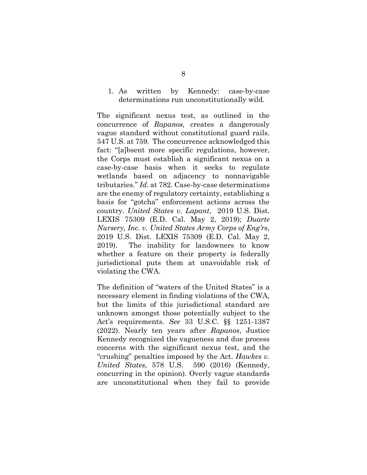#### 1. As written by Kennedy: case-by-case determinations run unconstitutionally wild.

The significant nexus test, as outlined in the concurrence of *Rapanos,* creates a dangerously vague standard without constitutional guard rails. 547 U.S. at 759. The concurrence acknowledged this fact: "[a]bsent more specific regulations, however, the Corps must establish a significant nexus on a case-by-case basis when it seeks to regulate wetlands based on adjacency to nonnavigable tributaries." *Id.* at 782. Case-by-case determinations are the enemy of regulatory certainty, establishing a basis for "gotcha" enforcement actions across the country. *United States v. Lapant*, 2019 U.S. Dist. LEXIS 75309 (E.D. Cal. May 2, 2019); *Duarte Nursery, Inc. v. United States Army Corps of Eng'rs*, 2019 U.S. Dist. LEXIS 75309 (E.D. Cal. May 2, 2019). The inability for landowners to know whether a feature on their property is federally jurisdictional puts them at unavoidable risk of violating the CWA.

The definition of "waters of the United States" is a necessary element in finding violations of the CWA, but the limits of this jurisdictional standard are unknown amongst those potentially subject to the Act's requirements. *See* 33 U.S.C. §§ 1251-1387 (2022). Nearly ten years after *Rapanos*, Justice Kennedy recognized the vagueness and due process concerns with the significant nexus test, and the "crushing" penalties imposed by the Act. *Hawkes v. United States*, 578 U.S. 590 (2016) (Kennedy, concurring in the opinion). Overly vague standards are unconstitutional when they fail to provide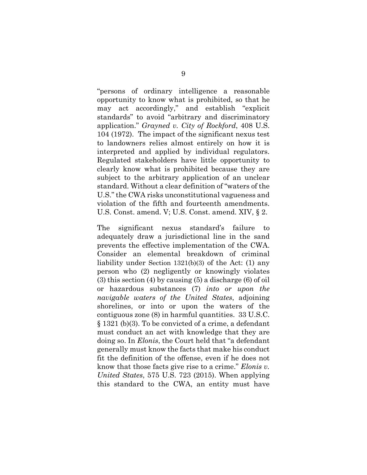"persons of ordinary intelligence a reasonable opportunity to know what is prohibited, so that he may act accordingly," and establish "explicit standards" to avoid "arbitrary and discriminatory application." *Grayned v. City of Rockford*, 408 U.S. 104 (1972). The impact of the significant nexus test to landowners relies almost entirely on how it is interpreted and applied by individual regulators. Regulated stakeholders have little opportunity to clearly know what is prohibited because they are subject to the arbitrary application of an unclear standard. Without a clear definition of "waters of the U.S." the CWA risks unconstitutional vagueness and violation of the fifth and fourteenth amendments. U.S. Const. amend. V; U.S. Const. amend. XIV, § 2.

The significant nexus standard's failure to adequately draw a jurisdictional line in the sand prevents the effective implementation of the CWA. Consider an elemental breakdown of criminal liability under Section 1321(b)(3) of the Act: (1) any person who (2) negligently or knowingly violates (3) this section (4) by causing (5) a discharge (6) of oil or hazardous substances (7) *into or upon the navigable waters of the United States*, adjoining shorelines, or into or upon the waters of the contiguous zone (8) in harmful quantities. 33 U.S.C. § 1321 (b)(3). To be convicted of a crime, a defendant must conduct an act with knowledge that they are doing so. In *Elonis*, the Court held that "a defendant generally must know the facts that make his conduct fit the definition of the offense, even if he does not know that those facts give rise to a crime." *Elonis v. United States*, 575 U.S. 723 (2015). When applying this standard to the CWA, an entity must have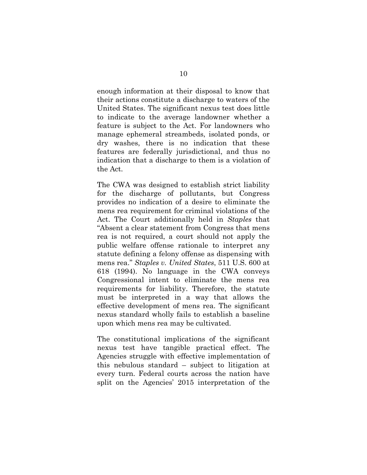enough information at their disposal to know that their actions constitute a discharge to waters of the United States. The significant nexus test does little to indicate to the average landowner whether a feature is subject to the Act. For landowners who manage ephemeral streambeds, isolated ponds, or dry washes, there is no indication that these features are federally jurisdictional, and thus no indication that a discharge to them is a violation of the Act.

The CWA was designed to establish strict liability for the discharge of pollutants, but Congress provides no indication of a desire to eliminate the mens rea requirement for criminal violations of the Act. The Court additionally held in *Staples* that "Absent a clear statement from Congress that mens rea is not required, a court should not apply the public welfare offense rationale to interpret any statute defining a felony offense as dispensing with mens rea." *Staples v. United States*, 511 U.S. 600 at 618 (1994). No language in the CWA conveys Congressional intent to eliminate the mens rea requirements for liability. Therefore, the statute must be interpreted in a way that allows the effective development of mens rea. The significant nexus standard wholly fails to establish a baseline upon which mens rea may be cultivated.

The constitutional implications of the significant nexus test have tangible practical effect. The Agencies struggle with effective implementation of this nebulous standard – subject to litigation at every turn. Federal courts across the nation have split on the Agencies' 2015 interpretation of the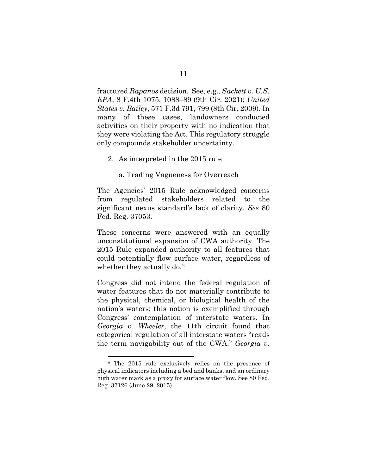fractured *Rapanos* decision. See, e.g., *Sackett v. U.S. EPA*, 8 F.4th 1075, 1088–89 (9th Cir. 2021); *United States v. Bailey*, 571 F.3d 791, 799 (8th Cir. 2009). In many of these cases, landowners conducted activities on their property with no indication that they were violating the Act. This regulatory struggle only compounds stakeholder uncertainty.

#### 2. As interpreted in the 2015 rule

a. Trading Vagueness for Overreach

The Agencies' 2015 Rule acknowledged concerns from regulated stakeholders related to the significant nexus standard's lack of clarity. *See* 80 Fed. Reg. 37053.

These concerns were answered with an equally unconstitutional expansion of CWA authority. The 2015 Rule expanded authority to all features that could potentially flow surface water, regardless of whether they actually do.<sup>[2](#page-18-0)</sup>

Congress did not intend the federal regulation of water features that do not materially contribute to the physical, chemical, or biological health of the nation's waters; this notion is exemplified through Congress' contemplation of interstate waters. In *Georgia v. Wheeler*, the 11th circuit found that categorical regulation of all interstate waters "reads the term navigability out of the CWA." *Georgia v.* 

<span id="page-18-0"></span><sup>2</sup> The 2015 rule exclusively relies on the presence of physical indicators including a bed and banks, and an ordinary high water mark as a proxy for surface water flow. See 80 Fed. Reg. 37126 (June 29, 2015).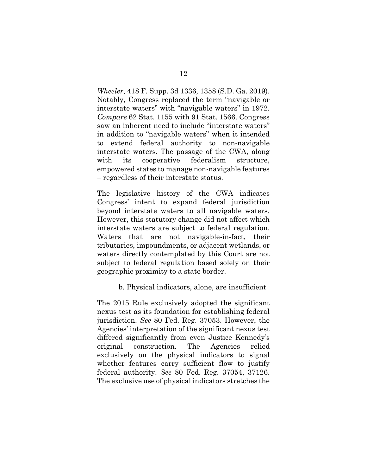*Wheeler*, 418 F. Supp. 3d 1336, 1358 (S.D. Ga. 2019). Notably, Congress replaced the term "navigable or interstate waters" with "navigable waters" in 1972. *Compare* 62 Stat. 1155 with 91 Stat. 1566. Congress saw an inherent need to include "interstate waters" in addition to "navigable waters" when it intended to extend federal authority to non-navigable interstate waters. The passage of the CWA, along with its cooperative federalism structure, empowered states to manage non-navigable features – regardless of their interstate status.

The legislative history of the CWA indicates Congress' intent to expand federal jurisdiction beyond interstate waters to all navigable waters. However, this statutory change did not affect which interstate waters are subject to federal regulation. Waters that are not navigable-in-fact, their tributaries, impoundments, or adjacent wetlands, or waters directly contemplated by this Court are not subject to federal regulation based solely on their geographic proximity to a state border.

b. Physical indicators, alone, are insufficient

The 2015 Rule exclusively adopted the significant nexus test as its foundation for establishing federal jurisdiction. *See* 80 Fed. Reg. 37053. However, the Agencies' interpretation of the significant nexus test differed significantly from even Justice Kennedy's original construction. The Agencies relied exclusively on the physical indicators to signal whether features carry sufficient flow to justify federal authority. *See* 80 Fed. Reg. 37054, 37126. The exclusive use of physical indicators stretches the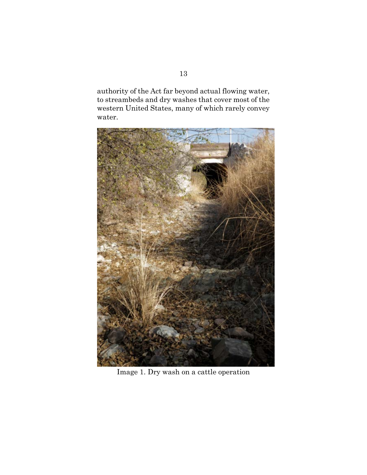authority of the Act far beyond actual flowing water, to streambeds and dry washes that cover most of the western United States, many of which rarely convey water.



Image 1. Dry wash on a cattle operation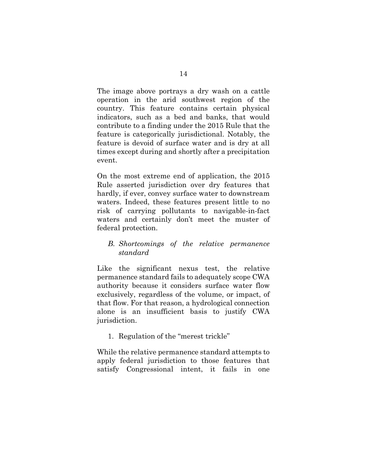The image above portrays a dry wash on a cattle operation in the arid southwest region of the country. This feature contains certain physical indicators, such as a bed and banks, that would contribute to a finding under the 2015 Rule that the feature is categorically jurisdictional. Notably, the feature is devoid of surface water and is dry at all times except during and shortly after a precipitation event.

On the most extreme end of application, the 2015 Rule asserted jurisdiction over dry features that hardly, if ever, convey surface water to downstream waters. Indeed, these features present little to no risk of carrying pollutants to navigable-in-fact waters and certainly don't meet the muster of federal protection.

### *B. Shortcomings of the relative permanence standard*

Like the significant nexus test, the relative permanence standard fails to adequately scope CWA authority because it considers surface water flow exclusively, regardless of the volume, or impact, of that flow. For that reason, a hydrological connection alone is an insufficient basis to justify CWA jurisdiction.

1. Regulation of the "merest trickle"

While the relative permanence standard attempts to apply federal jurisdiction to those features that satisfy Congressional intent, it fails in one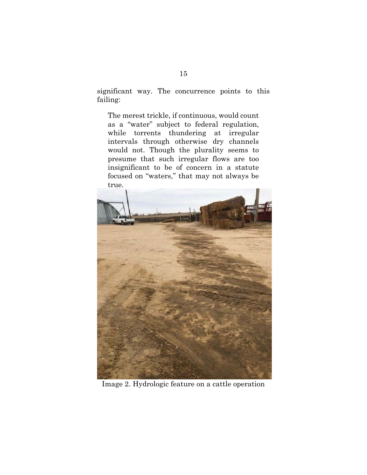significant way. The concurrence points to this failing:

The merest trickle, if continuous, would count as a "water" subject to federal regulation, while torrents thundering at irregular intervals through otherwise dry channels would not. Though the plurality seems to presume that such irregular flows are too insignificant to be of concern in a statute focused on "waters," that may not always be true.



Image 2. Hydrologic feature on a cattle operation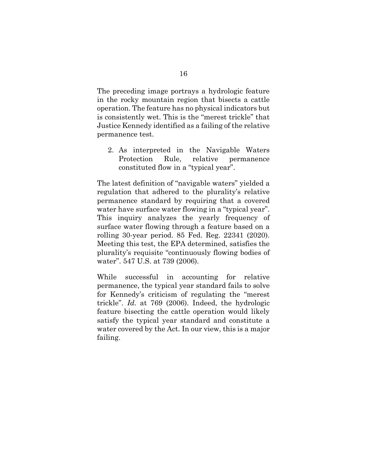The preceding image portrays a hydrologic feature in the rocky mountain region that bisects a cattle operation. The feature has no physical indicators but is consistently wet. This is the "merest trickle" that Justice Kennedy identified as a failing of the relative permanence test.

2. As interpreted in the Navigable Waters Protection Rule, relative permanence constituted flow in a "typical year".

The latest definition of "navigable waters" yielded a regulation that adhered to the plurality's relative permanence standard by requiring that a covered water have surface water flowing in a "typical year". This inquiry analyzes the yearly frequency of surface water flowing through a feature based on a rolling 30-year period. 85 Fed. Reg. 22341 (2020). Meeting this test, the EPA determined, satisfies the plurality's requisite "continuously flowing bodies of water". 547 U.S. at 739 (2006).

While successful in accounting for relative permanence, the typical year standard fails to solve for Kennedy's criticism of regulating the "merest trickle". *Id.* at 769 (2006). Indeed, the hydrologic feature bisecting the cattle operation would likely satisfy the typical year standard and constitute a water covered by the Act. In our view, this is a major failing.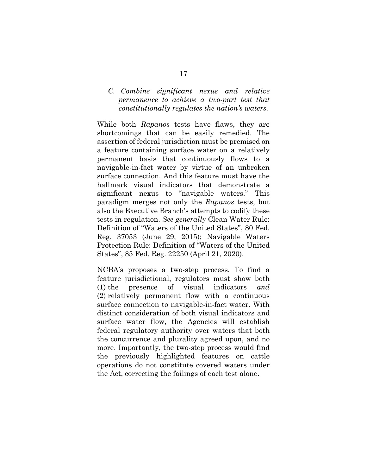### *C. Combine significant nexus and relative permanence to achieve a two-part test that constitutionally regulates the nation's waters.*

While both *Rapanos* tests have flaws, they are shortcomings that can be easily remedied. The assertion of federal jurisdiction must be premised on a feature containing surface water on a relatively permanent basis that continuously flows to a navigable-in-fact water by virtue of an unbroken surface connection. And this feature must have the hallmark visual indicators that demonstrate a significant nexus to "navigable waters." This paradigm merges not only the *Rapanos* tests, but also the Executive Branch's attempts to codify these tests in regulation. *See generally* Clean Water Rule: Definition of "Waters of the United States", 80 Fed. Reg. 37053 (June 29, 2015); Navigable Waters Protection Rule: Definition of "Waters of the United States", 85 Fed. Reg. 22250 (April 21, 2020).

NCBA's proposes a two-step process. To find a feature jurisdictional, regulators must show both (1) the presence of visual indicators *and* (2) relatively permanent flow with a continuous surface connection to navigable-in-fact water. With distinct consideration of both visual indicators and surface water flow, the Agencies will establish federal regulatory authority over waters that both the concurrence and plurality agreed upon, and no more. Importantly, the two-step process would find the previously highlighted features on cattle operations do not constitute covered waters under the Act, correcting the failings of each test alone.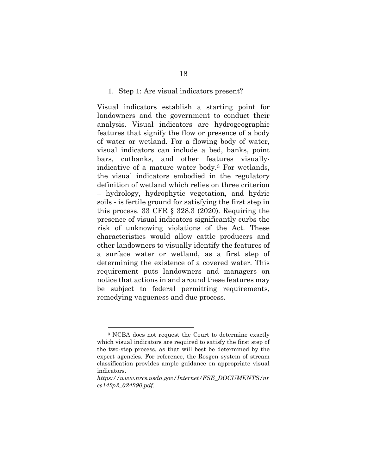#### 1. Step 1: Are visual indicators present?

Visual indicators establish a starting point for landowners and the government to conduct their analysis. Visual indicators are hydrogeographic features that signify the flow or presence of a body of water or wetland. For a flowing body of water, visual indicators can include a bed, banks, point bars, cutbanks, and other features visuallyindicative of a mature water body.[3](#page-25-0) For wetlands, the visual indicators embodied in the regulatory definition of wetland which relies on three criterion – hydrology, hydrophytic vegetation, and hydric soils - is fertile ground for satisfying the first step in this process. 33 CFR  $\S$  328.3 (2020). Requiring the presence of visual indicators significantly curbs the risk of unknowing violations of the Act. These characteristics would allow cattle producers and other landowners to visually identify the features of a surface water or wetland, as a first step of determining the existence of a covered water. This requirement puts landowners and managers on notice that actions in and around these features may be subject to federal permitting requirements, remedying vagueness and due process.

<span id="page-25-0"></span><sup>3</sup> NCBA does not request the Court to determine exactly which visual indicators are required to satisfy the first step of the two-step process, as that will best be determined by the expert agencies. For reference, the Rosgen system of stream classification provides ample guidance on appropriate visual indicators.

*https://www.nrcs.usda.gov/Internet/FSE\_DOCUMENTS/nr cs142p2\_024290.pdf.*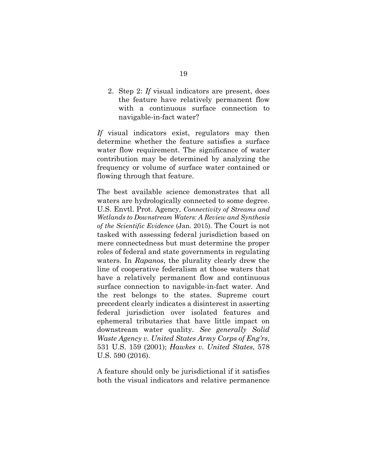2. Step 2: *If* visual indicators are present, does the feature have relatively permanent flow with a continuous surface connection to navigable-in-fact water?

*If* visual indicators exist, regulators may then determine whether the feature satisfies a surface water flow requirement. The significance of water contribution may be determined by analyzing the frequency or volume of surface water contained or flowing through that feature.

The best available science demonstrates that all waters are hydrologically connected to some degree. U.S. Envtl. Prot. Agency, *Connectivity of Streams and Wetlands to Downstream Waters: A Review and Synthesis of the Scientific Evidence* (Jan. 2015). The Court is not tasked with assessing federal jurisdiction based on mere connectedness but must determine the proper roles of federal and state governments in regulating waters. In *Rapanos*, the plurality clearly drew the line of cooperative federalism at those waters that have a relatively permanent flow and continuous surface connection to navigable-in-fact water. And the rest belongs to the states. Supreme court precedent clearly indicates a disinterest in asserting federal jurisdiction over isolated features and ephemeral tributaries that have little impact on downstream water quality. *See generally Solid Waste Agency v. United States Army Corps of Eng'rs*, 531 U.S. 159 (2001); *Hawkes v. United States*, 578 U.S. 590 (2016).

A feature should only be jurisdictional if it satisfies both the visual indicators and relative permanence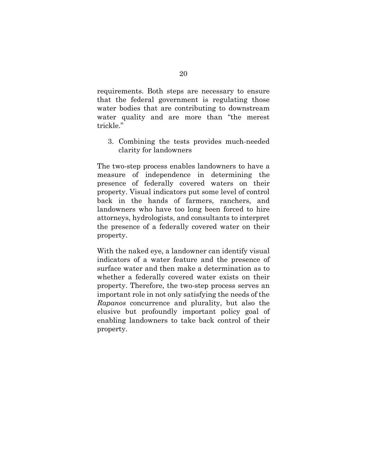requirements. Both steps are necessary to ensure that the federal government is regulating those water bodies that are contributing to downstream water quality and are more than "the merest trickle."

3. Combining the tests provides much-needed clarity for landowners

The two-step process enables landowners to have a measure of independence in determining the presence of federally covered waters on their property. Visual indicators put some level of control back in the hands of farmers, ranchers, and landowners who have too long been forced to hire attorneys, hydrologists, and consultants to interpret the presence of a federally covered water on their property.

With the naked eye, a landowner can identify visual indicators of a water feature and the presence of surface water and then make a determination as to whether a federally covered water exists on their property. Therefore, the two-step process serves an important role in not only satisfying the needs of the *Rapanos* concurrence and plurality, but also the elusive but profoundly important policy goal of enabling landowners to take back control of their property.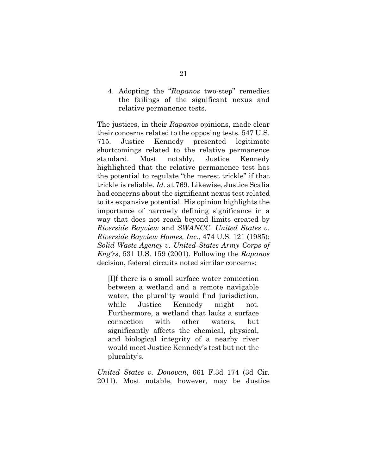4. Adopting the "*Rapanos* two-step" remedies the failings of the significant nexus and relative permanence tests.

The justices, in their *Rapanos* opinions, made clear their concerns related to the opposing tests. 547 U.S. 715. Justice Kennedy presented legitimate shortcomings related to the relative permanence standard. Most notably, Justice Kennedy highlighted that the relative permanence test has the potential to regulate "the merest trickle" if that trickle is reliable. *Id.* at 769. Likewise, Justice Scalia had concerns about the significant nexus test related to its expansive potential. His opinion highlights the importance of narrowly defining significance in a way that does not reach beyond limits created by *Riverside Bayview* and *SWANCC*. *United States v. Riverside Bayview Homes, Inc.*, 474 U.S. 121 (1985); *Solid Waste Agency v. United States Army Corps of Eng'rs*, 531 U.S. 159 (2001). Following the *Rapanos* decision, federal circuits noted similar concerns:

[I]f there is a small surface water connection between a wetland and a remote navigable water, the plurality would find jurisdiction, while Justice Kennedy might not. Furthermore, a wetland that lacks a surface connection with other waters, but significantly affects the chemical, physical, and biological integrity of a nearby river would meet Justice Kennedy's test but not the plurality's.

*United States v. Donovan*, 661 F.3d 174 (3d Cir. 2011). Most notable, however, may be Justice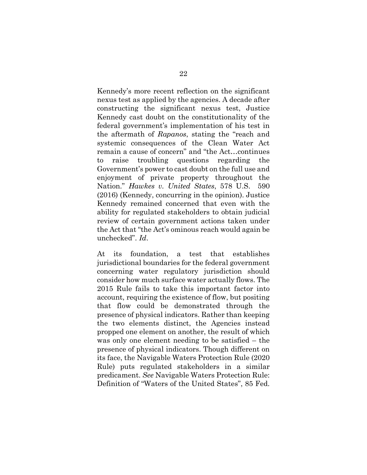Kennedy's more recent reflection on the significant nexus test as applied by the agencies. A decade after constructing the significant nexus test, Justice Kennedy cast doubt on the constitutionality of the federal government's implementation of his test in the aftermath of *Rapanos*, stating the "reach and systemic consequences of the Clean Water Act remain a cause of concern" and "the Act…continues to raise troubling questions regarding the Government's power to cast doubt on the full use and enjoyment of private property throughout the Nation." *Hawkes v. United States*, 578 U.S. 590 (2016) (Kennedy, concurring in the opinion). Justice Kennedy remained concerned that even with the ability for regulated stakeholders to obtain judicial review of certain government actions taken under the Act that "the Act's ominous reach would again be unchecked". *Id*.

At its foundation, a test that establishes jurisdictional boundaries for the federal government concerning water regulatory jurisdiction should consider how much surface water actually flows. The 2015 Rule fails to take this important factor into account, requiring the existence of flow, but positing that flow could be demonstrated through the presence of physical indicators. Rather than keeping the two elements distinct, the Agencies instead propped one element on another, the result of which was only one element needing to be satisfied – the presence of physical indicators. Though different on its face, the Navigable Waters Protection Rule (2020 Rule) puts regulated stakeholders in a similar predicament. *See* Navigable Waters Protection Rule: Definition of "Waters of the United States", 85 Fed.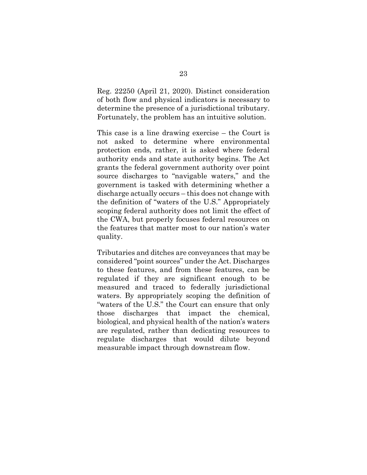Reg. 22250 (April 21, 2020). Distinct consideration of both flow and physical indicators is necessary to determine the presence of a jurisdictional tributary. Fortunately, the problem has an intuitive solution.

This case is a line drawing exercise – the Court is not asked to determine where environmental protection ends, rather, it is asked where federal authority ends and state authority begins. The Act grants the federal government authority over point source discharges to "navigable waters," and the government is tasked with determining whether a discharge actually occurs – this does not change with the definition of "waters of the U.S." Appropriately scoping federal authority does not limit the effect of the CWA, but properly focuses federal resources on the features that matter most to our nation's water quality.

Tributaries and ditches are conveyances that may be considered "point sources" under the Act. Discharges to these features, and from these features, can be regulated if they are significant enough to be measured and traced to federally jurisdictional waters. By appropriately scoping the definition of "waters of the U.S." the Court can ensure that only those discharges that impact the chemical, biological, and physical health of the nation's waters are regulated, rather than dedicating resources to regulate discharges that would dilute beyond measurable impact through downstream flow.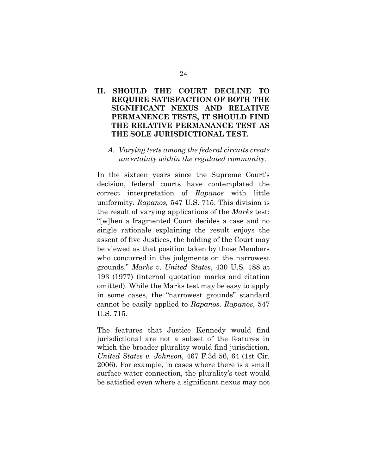## **II. SHOULD THE COURT DECLINE TO REQUIRE SATISFACTION OF BOTH THE SIGNIFICANT NEXUS AND RELATIVE PERMANENCE TESTS, IT SHOULD FIND THE RELATIVE PERMANANCE TEST AS THE SOLE JURISDICTIONAL TEST.**

### *A. Varying tests among the federal circuits create uncertainty within the regulated community.*

In the sixteen years since the Supreme Court's decision, federal courts have contemplated the correct interpretation of *Rapanos* with little uniformity. *Rapanos,* 547 U.S. 715. This division is the result of varying applications of the *Marks* test: "[w]hen a fragmented Court decides a case and no single rationale explaining the result enjoys the assent of five Justices, the holding of the Court may be viewed as that position taken by those Members who concurred in the judgments on the narrowest grounds." *Marks v. United States*, 430 U.S. 188 at 193 (1977) (internal quotation marks and citation omitted). While the Marks test may be easy to apply in some cases, the "narrowest grounds" standard cannot be easily applied to *Rapanos*. *Rapanos*, 547 U.S. 715.

The features that Justice Kennedy would find jurisdictional are not a subset of the features in which the broader plurality would find jurisdiction. *United States v. Johnson*, 467 F.3d 56, 64 (1st Cir. 2006). For example, in cases where there is a small surface water connection, the plurality's test would be satisfied even where a significant nexus may not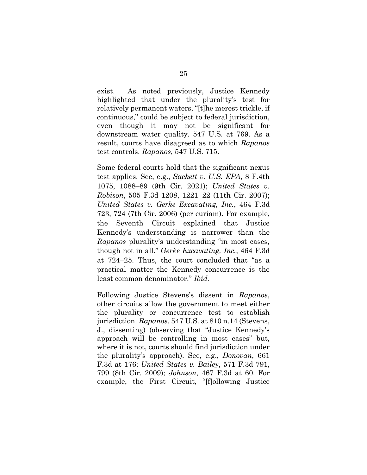exist. As noted previously, Justice Kennedy highlighted that under the plurality's test for relatively permanent waters, "[t]he merest trickle, if continuous," could be subject to federal jurisdiction, even though it may not be significant for downstream water quality. 547 U.S. at 769. As a result, courts have disagreed as to which *Rapanos* test controls. *Rapanos*, 547 U.S. 715.

Some federal courts hold that the significant nexus test applies. See, e.g., *Sackett v. U.S. EPA*, 8 F.4th 1075, 1088–89 (9th Cir. 2021); *United States v. Robison*, 505 F.3d 1208, 1221–22 (11th Cir. 2007); *United States v. Gerke Excavating, Inc.*, 464 F.3d 723, 724 (7th Cir. 2006) (per curiam). For example, the Seventh Circuit explained that Justice Kennedy's understanding is narrower than the *Rapanos* plurality's understanding "in most cases, though not in all." *Gerke Excavating, Inc.*, 464 F.3d at 724–25. Thus, the court concluded that "as a practical matter the Kennedy concurrence is the least common denominator." *Ibid.*

Following Justice Stevens's dissent in *Rapanos*, other circuits allow the government to meet either the plurality or concurrence test to establish jurisdiction. *Rapanos*, 547 U.S. at 810 n.14 (Stevens, J., dissenting) (observing that "Justice Kennedy's approach will be controlling in most cases" but, where it is not, courts should find jurisdiction under the plurality's approach). See, e.g., *Donovan*, 661 F.3d at 176; *United States v. Bailey*, 571 F.3d 791, 799 (8th Cir. 2009); *Johnson*, 467 F.3d at 60. For example, the First Circuit, "[f]ollowing Justice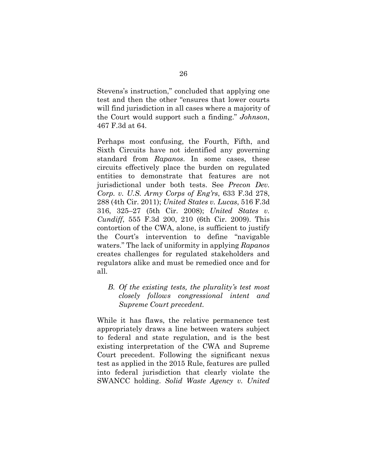Stevens's instruction," concluded that applying one test and then the other "ensures that lower courts will find jurisdiction in all cases where a majority of the Court would support such a finding." *Johnson*, 467 F.3d at 64.

Perhaps most confusing, the Fourth, Fifth, and Sixth Circuits have not identified any governing standard from *Rapanos*. In some cases, these circuits effectively place the burden on regulated entities to demonstrate that features are not jurisdictional under both tests. See *Precon Dev. Corp. v. U.S. Army Corps of Eng'rs*, 633 F.3d 278, 288 (4th Cir. 2011); *United States v. Lucas*, 516 F.3d 316, 325–27 (5th Cir. 2008); *United States v. Cundiff*, 555 F.3d 200, 210 (6th Cir. 2009). This contortion of the CWA, alone, is sufficient to justify the Court's intervention to define "navigable waters." The lack of uniformity in applying *Rapanos*  creates challenges for regulated stakeholders and regulators alike and must be remedied once and for all.

 *B. Of the existing tests, the plurality's test most closely follows congressional intent and Supreme Court precedent.* 

While it has flaws, the relative permanence test appropriately draws a line between waters subject to federal and state regulation, and is the best existing interpretation of the CWA and Supreme Court precedent. Following the significant nexus test as applied in the 2015 Rule, features are pulled into federal jurisdiction that clearly violate the SWANCC holding. *Solid Waste Agency v. United*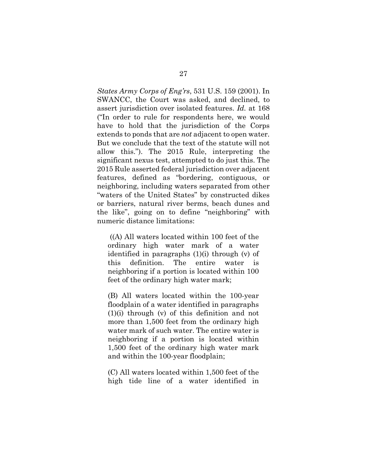*States Army Corps of Eng'rs*, 531 U.S. 159 (2001). In SWANCC, the Court was asked, and declined, to assert jurisdiction over isolated features. *Id.* at 168 ("In order to rule for respondents here, we would have to hold that the jurisdiction of the Corps extends to ponds that are *not* adjacent to open water. But we conclude that the text of the statute will not allow this."). The 2015 Rule, interpreting the significant nexus test, attempted to do just this. The 2015 Rule asserted federal jurisdiction over adjacent features, defined as "bordering, contiguous, or neighboring, including waters separated from other "waters of the United States" by constructed dikes or barriers, natural river berms, beach dunes and the like", going on to define "neighboring" with numeric distance limitations:

((A) All waters located within 100 feet of the ordinary high water mark of a water identified in paragraphs (1)(i) through (v) of this definition. The entire water is neighboring if a portion is located within 100 feet of the ordinary high water mark;

(B) All waters located within the 100-year floodplain of a water identified in paragraphs (1)(i) through (v) of this definition and not more than 1,500 feet from the ordinary high water mark of such water. The entire water is neighboring if a portion is located within 1,500 feet of the ordinary high water mark and within the 100-year floodplain;

(C) All waters located within 1,500 feet of the high tide line of a water identified in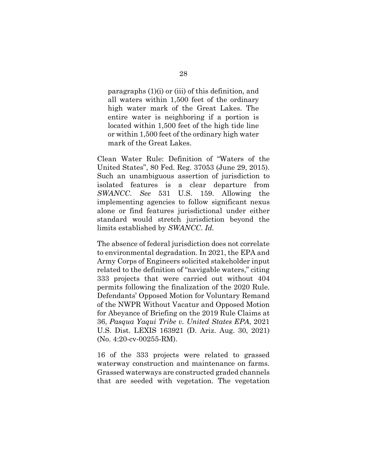paragraphs (1)(i) or (iii) of this definition, and all waters within 1,500 feet of the ordinary high water mark of the Great Lakes. The entire water is neighboring if a portion is located within 1,500 feet of the high tide line or within 1,500 feet of the ordinary high water mark of the Great Lakes.

Clean Water Rule: Definition of "Waters of the United States", 80 Fed. Reg. 37053 (June 29, 2015). Such an unambiguous assertion of jurisdiction to isolated features is a clear departure from *SWANCC*. *See* 531 U.S. 159. Allowing the implementing agencies to follow significant nexus alone or find features jurisdictional under either standard would stretch jurisdiction beyond the limits established by *SWANCC*. *Id.* 

The absence of federal jurisdiction does not correlate to environmental degradation. In 2021, the EPA and Army Corps of Engineers solicited stakeholder input related to the definition of "navigable waters," citing 333 projects that were carried out without 404 permits following the finalization of the 2020 Rule. Defendants' Opposed Motion for Voluntary Remand of the NWPR Without Vacatur and Opposed Motion for Abeyance of Briefing on the 2019 Rule Claims at 36, *Pasqua Yaqui Tribe v. United States EPA*, 2021 U.S. Dist. LEXIS 163921 (D. Ariz. Aug. 30, 2021) (No. 4:20-cv-00255-RM).

16 of the 333 projects were related to grassed waterway construction and maintenance on farms. Grassed waterways are constructed graded channels that are seeded with vegetation. The vegetation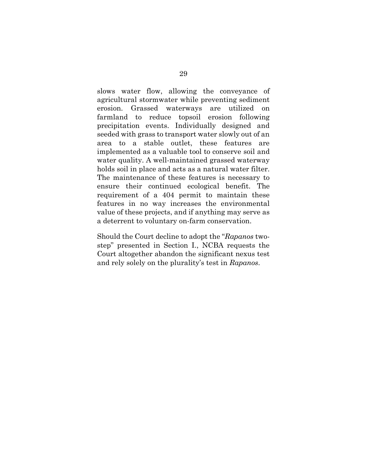slows water flow, allowing the conveyance of agricultural stormwater while preventing sediment erosion. Grassed waterways are utilized on farmland to reduce topsoil erosion following precipitation events. Individually designed and seeded with grass to transport water slowly out of an area to a stable outlet, these features are implemented as a valuable tool to conserve soil and water quality. A well-maintained grassed waterway holds soil in place and acts as a natural water filter. The maintenance of these features is necessary to ensure their continued ecological benefit. The requirement of a 404 permit to maintain these features in no way increases the environmental value of these projects, and if anything may serve as a deterrent to voluntary on-farm conservation.

Should the Court decline to adopt the "*Rapanos* twostep" presented in Section I., NCBA requests the Court altogether abandon the significant nexus test and rely solely on the plurality's test in *Rapanos*.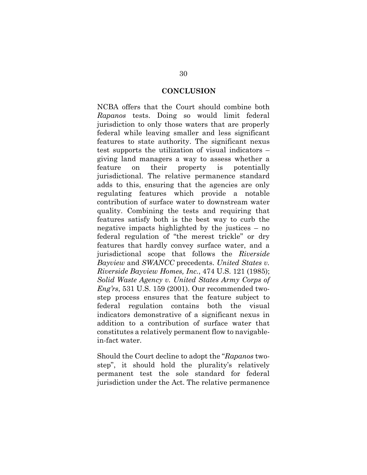#### **CONCLUSION**

NCBA offers that the Court should combine both *Rapanos* tests. Doing so would limit federal jurisdiction to only those waters that are properly federal while leaving smaller and less significant features to state authority. The significant nexus test supports the utilization of visual indicators – giving land managers a way to assess whether a feature on their property is potentially jurisdictional. The relative permanence standard adds to this, ensuring that the agencies are only regulating features which provide a notable contribution of surface water to downstream water quality. Combining the tests and requiring that features satisfy both is the best way to curb the negative impacts highlighted by the justices – no federal regulation of "the merest trickle" or dry features that hardly convey surface water, and a jurisdictional scope that follows the *Riverside Bayview* and *SWANCC* precedents. *United States v. Riverside Bayview Homes, Inc.*, 474 U.S. 121 (1985); *Solid Waste Agency v. United States Army Corps of Eng'rs*, 531 U.S. 159 (2001). Our recommended twostep process ensures that the feature subject to federal regulation contains both the visual indicators demonstrative of a significant nexus in addition to a contribution of surface water that constitutes a relatively permanent flow to navigablein-fact water.

Should the Court decline to adopt the "*Rapanos* twostep", it should hold the plurality's relatively permanent test the sole standard for federal jurisdiction under the Act. The relative permanence